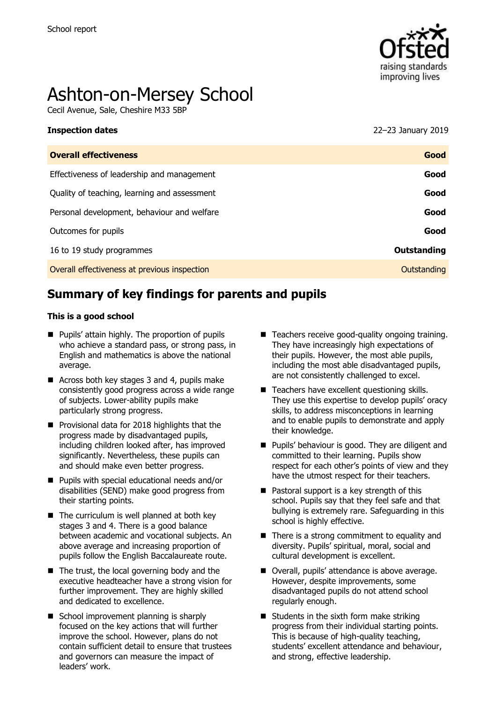

# Ashton-on-Mersey School

Cecil Avenue, Sale, Cheshire M33 5BP

| <b>Inspection dates</b>                      | 22-23 January 2019 |
|----------------------------------------------|--------------------|
| <b>Overall effectiveness</b>                 | Good               |
| Effectiveness of leadership and management   | Good               |
| Quality of teaching, learning and assessment | Good               |
| Personal development, behaviour and welfare  | Good               |
| Outcomes for pupils                          | Good               |

16 to 19 study programmes **Outstanding**

Overall effectiveness at previous inspection **Contract Contract Contract Contract Contract Contract Contract Contract Contract Contract Contract Contract Contract Contract Contract Contract Contract Contract Contract Contr** 

# **Summary of key findings for parents and pupils**

#### **This is a good school**

- **Pupils' attain highly. The proportion of pupils** who achieve a standard pass, or strong pass, in English and mathematics is above the national average.
- Across both key stages 3 and 4, pupils make consistently good progress across a wide range of subjects. Lower-ability pupils make particularly strong progress.
- **Provisional data for 2018 highlights that the** progress made by disadvantaged pupils, including children looked after, has improved significantly. Nevertheless, these pupils can and should make even better progress.
- Pupils with special educational needs and/or disabilities (SEND) make good progress from their starting points.
- $\blacksquare$  The curriculum is well planned at both key stages 3 and 4. There is a good balance between academic and vocational subjects. An above average and increasing proportion of pupils follow the English Baccalaureate route.
- The trust, the local governing body and the executive headteacher have a strong vision for further improvement. They are highly skilled and dedicated to excellence.
- School improvement planning is sharply focused on the key actions that will further improve the school. However, plans do not contain sufficient detail to ensure that trustees and governors can measure the impact of leaders' work.
- Teachers receive good-quality ongoing training. They have increasingly high expectations of their pupils. However, the most able pupils, including the most able disadvantaged pupils, are not consistently challenged to excel.
- Teachers have excellent questioning skills. They use this expertise to develop pupils' oracy skills, to address misconceptions in learning and to enable pupils to demonstrate and apply their knowledge.
- **Pupils' behaviour is good. They are diligent and** committed to their learning. Pupils show respect for each other's points of view and they have the utmost respect for their teachers.
- Pastoral support is a key strength of this school. Pupils say that they feel safe and that bullying is extremely rare. Safeguarding in this school is highly effective.
- $\blacksquare$  There is a strong commitment to equality and diversity. Pupils' spiritual, moral, social and cultural development is excellent.
- Overall, pupils' attendance is above average. However, despite improvements, some disadvantaged pupils do not attend school regularly enough.
- $\blacksquare$  Students in the sixth form make striking progress from their individual starting points. This is because of high-quality teaching, students' excellent attendance and behaviour, and strong, effective leadership.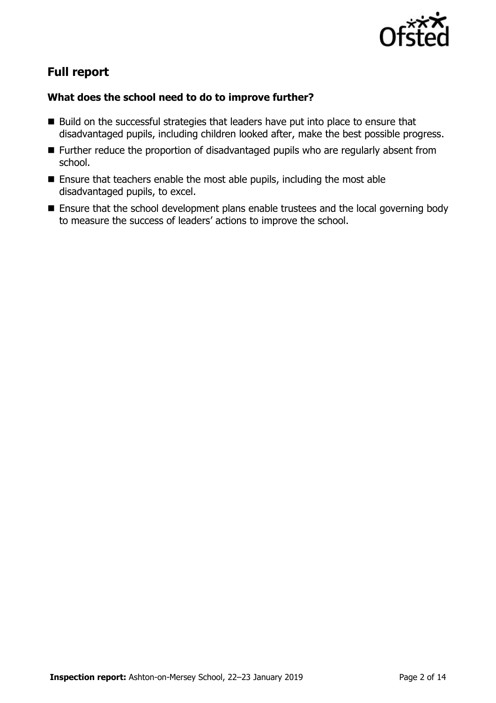

# **Full report**

### **What does the school need to do to improve further?**

- $\blacksquare$  Build on the successful strategies that leaders have put into place to ensure that disadvantaged pupils, including children looked after, make the best possible progress.
- **Further reduce the proportion of disadvantaged pupils who are regularly absent from** school.
- Ensure that teachers enable the most able pupils, including the most able disadvantaged pupils, to excel.
- **Ensure that the school development plans enable trustees and the local governing body** to measure the success of leaders' actions to improve the school.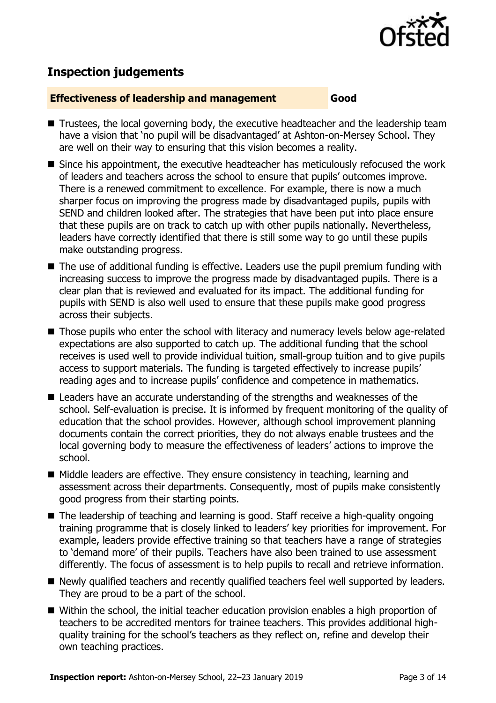

## **Inspection judgements**

#### **Effectiveness of leadership and management Good**

- Trustees, the local governing body, the executive headteacher and the leadership team have a vision that 'no pupil will be disadvantaged' at Ashton-on-Mersey School. They are well on their way to ensuring that this vision becomes a reality.
- Since his appointment, the executive headteacher has meticulously refocused the work of leaders and teachers across the school to ensure that pupils' outcomes improve. There is a renewed commitment to excellence. For example, there is now a much sharper focus on improving the progress made by disadvantaged pupils, pupils with SEND and children looked after. The strategies that have been put into place ensure that these pupils are on track to catch up with other pupils nationally. Nevertheless, leaders have correctly identified that there is still some way to go until these pupils make outstanding progress.
- The use of additional funding is effective. Leaders use the pupil premium funding with increasing success to improve the progress made by disadvantaged pupils. There is a clear plan that is reviewed and evaluated for its impact. The additional funding for pupils with SEND is also well used to ensure that these pupils make good progress across their subjects.
- Those pupils who enter the school with literacy and numeracy levels below age-related expectations are also supported to catch up. The additional funding that the school receives is used well to provide individual tuition, small-group tuition and to give pupils access to support materials. The funding is targeted effectively to increase pupils' reading ages and to increase pupils' confidence and competence in mathematics.
- Leaders have an accurate understanding of the strengths and weaknesses of the school. Self-evaluation is precise. It is informed by frequent monitoring of the quality of education that the school provides. However, although school improvement planning documents contain the correct priorities, they do not always enable trustees and the local governing body to measure the effectiveness of leaders' actions to improve the school.
- $\blacksquare$  Middle leaders are effective. They ensure consistency in teaching, learning and assessment across their departments. Consequently, most of pupils make consistently good progress from their starting points.
- The leadership of teaching and learning is good. Staff receive a high-quality ongoing training programme that is closely linked to leaders' key priorities for improvement. For example, leaders provide effective training so that teachers have a range of strategies to 'demand more' of their pupils. Teachers have also been trained to use assessment differently. The focus of assessment is to help pupils to recall and retrieve information.
- Newly qualified teachers and recently qualified teachers feel well supported by leaders. They are proud to be a part of the school.
- Within the school, the initial teacher education provision enables a high proportion of teachers to be accredited mentors for trainee teachers. This provides additional highquality training for the school's teachers as they reflect on, refine and develop their own teaching practices.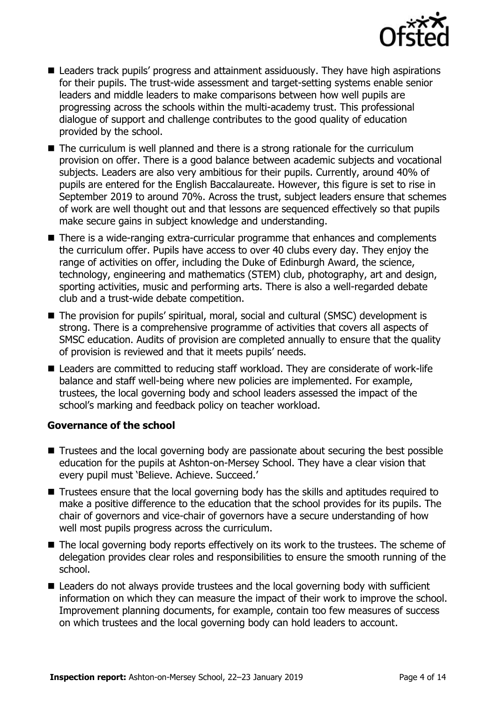

- Leaders track pupils' progress and attainment assiduously. They have high aspirations for their pupils. The trust-wide assessment and target-setting systems enable senior leaders and middle leaders to make comparisons between how well pupils are progressing across the schools within the multi-academy trust. This professional dialogue of support and challenge contributes to the good quality of education provided by the school.
- The curriculum is well planned and there is a strong rationale for the curriculum provision on offer. There is a good balance between academic subjects and vocational subjects. Leaders are also very ambitious for their pupils. Currently, around 40% of pupils are entered for the English Baccalaureate. However, this figure is set to rise in September 2019 to around 70%. Across the trust, subject leaders ensure that schemes of work are well thought out and that lessons are sequenced effectively so that pupils make secure gains in subject knowledge and understanding.
- There is a wide-ranging extra-curricular programme that enhances and complements the curriculum offer. Pupils have access to over 40 clubs every day. They enjoy the range of activities on offer, including the Duke of Edinburgh Award, the science, technology, engineering and mathematics (STEM) club, photography, art and design, sporting activities, music and performing arts. There is also a well-regarded debate club and a trust-wide debate competition.
- The provision for pupils' spiritual, moral, social and cultural (SMSC) development is strong. There is a comprehensive programme of activities that covers all aspects of SMSC education. Audits of provision are completed annually to ensure that the quality of provision is reviewed and that it meets pupils' needs.
- Leaders are committed to reducing staff workload. They are considerate of work-life balance and staff well-being where new policies are implemented. For example, trustees, the local governing body and school leaders assessed the impact of the school's marking and feedback policy on teacher workload.

#### **Governance of the school**

- Trustees and the local governing body are passionate about securing the best possible education for the pupils at Ashton-on-Mersey School. They have a clear vision that every pupil must 'Believe. Achieve. Succeed.'
- Trustees ensure that the local governing body has the skills and aptitudes required to make a positive difference to the education that the school provides for its pupils. The chair of governors and vice-chair of governors have a secure understanding of how well most pupils progress across the curriculum.
- The local governing body reports effectively on its work to the trustees. The scheme of delegation provides clear roles and responsibilities to ensure the smooth running of the school.
- Leaders do not always provide trustees and the local governing body with sufficient information on which they can measure the impact of their work to improve the school. Improvement planning documents, for example, contain too few measures of success on which trustees and the local governing body can hold leaders to account.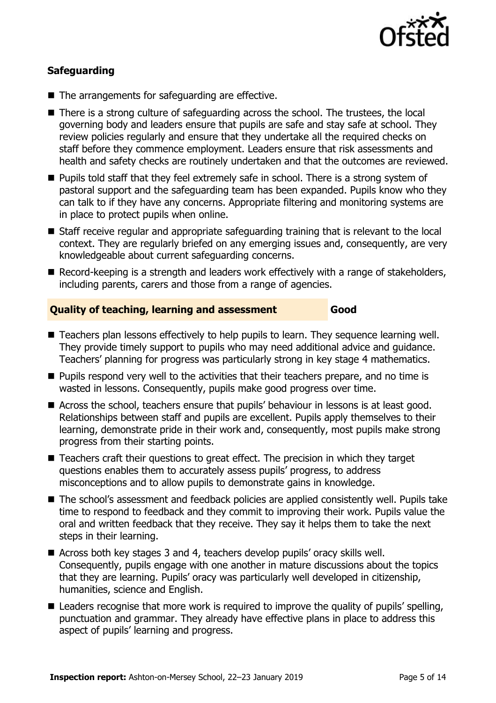

#### **Safeguarding**

- The arrangements for safeguarding are effective.
- There is a strong culture of safeguarding across the school. The trustees, the local governing body and leaders ensure that pupils are safe and stay safe at school. They review policies regularly and ensure that they undertake all the required checks on staff before they commence employment. Leaders ensure that risk assessments and health and safety checks are routinely undertaken and that the outcomes are reviewed.
- **Pupils told staff that they feel extremely safe in school. There is a strong system of** pastoral support and the safeguarding team has been expanded. Pupils know who they can talk to if they have any concerns. Appropriate filtering and monitoring systems are in place to protect pupils when online.
- Staff receive regular and appropriate safeguarding training that is relevant to the local context. They are regularly briefed on any emerging issues and, consequently, are very knowledgeable about current safeguarding concerns.
- Record-keeping is a strength and leaders work effectively with a range of stakeholders, including parents, carers and those from a range of agencies.

#### **Quality of teaching, learning and assessment Good**

- Teachers plan lessons effectively to help pupils to learn. They sequence learning well. They provide timely support to pupils who may need additional advice and guidance. Teachers' planning for progress was particularly strong in key stage 4 mathematics.
- **Pupils respond very well to the activities that their teachers prepare, and no time is** wasted in lessons. Consequently, pupils make good progress over time.
- Across the school, teachers ensure that pupils' behaviour in lessons is at least good. Relationships between staff and pupils are excellent. Pupils apply themselves to their learning, demonstrate pride in their work and, consequently, most pupils make strong progress from their starting points.
- Teachers craft their questions to great effect. The precision in which they target questions enables them to accurately assess pupils' progress, to address misconceptions and to allow pupils to demonstrate gains in knowledge.
- The school's assessment and feedback policies are applied consistently well. Pupils take time to respond to feedback and they commit to improving their work. Pupils value the oral and written feedback that they receive. They say it helps them to take the next steps in their learning.
- Across both key stages 3 and 4, teachers develop pupils' oracy skills well. Consequently, pupils engage with one another in mature discussions about the topics that they are learning. Pupils' oracy was particularly well developed in citizenship, humanities, science and English.
- Leaders recognise that more work is required to improve the quality of pupils' spelling, punctuation and grammar. They already have effective plans in place to address this aspect of pupils' learning and progress.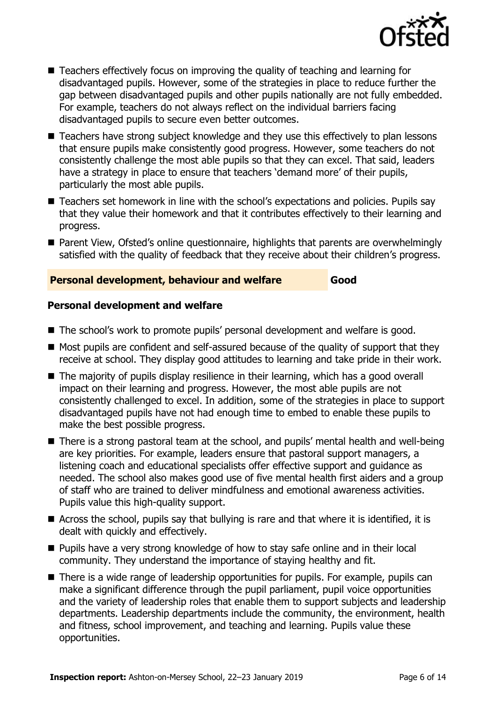

- Teachers effectively focus on improving the quality of teaching and learning for disadvantaged pupils. However, some of the strategies in place to reduce further the gap between disadvantaged pupils and other pupils nationally are not fully embedded. For example, teachers do not always reflect on the individual barriers facing disadvantaged pupils to secure even better outcomes.
- Teachers have strong subject knowledge and they use this effectively to plan lessons that ensure pupils make consistently good progress. However, some teachers do not consistently challenge the most able pupils so that they can excel. That said, leaders have a strategy in place to ensure that teachers 'demand more' of their pupils, particularly the most able pupils.
- Teachers set homework in line with the school's expectations and policies. Pupils say that they value their homework and that it contributes effectively to their learning and progress.
- Parent View, Ofsted's online questionnaire, highlights that parents are overwhelmingly satisfied with the quality of feedback that they receive about their children's progress.

#### **Personal development, behaviour and welfare Good**

#### **Personal development and welfare**

- The school's work to promote pupils' personal development and welfare is good.
- Most pupils are confident and self-assured because of the quality of support that they receive at school. They display good attitudes to learning and take pride in their work.
- The majority of pupils display resilience in their learning, which has a good overall impact on their learning and progress. However, the most able pupils are not consistently challenged to excel. In addition, some of the strategies in place to support disadvantaged pupils have not had enough time to embed to enable these pupils to make the best possible progress.
- There is a strong pastoral team at the school, and pupils' mental health and well-being are key priorities. For example, leaders ensure that pastoral support managers, a listening coach and educational specialists offer effective support and guidance as needed. The school also makes good use of five mental health first aiders and a group of staff who are trained to deliver mindfulness and emotional awareness activities. Pupils value this high-quality support.
- Across the school, pupils say that bullying is rare and that where it is identified, it is dealt with quickly and effectively.
- Pupils have a very strong knowledge of how to stay safe online and in their local community. They understand the importance of staying healthy and fit.
- There is a wide range of leadership opportunities for pupils. For example, pupils can make a significant difference through the pupil parliament, pupil voice opportunities and the variety of leadership roles that enable them to support subjects and leadership departments. Leadership departments include the community, the environment, health and fitness, school improvement, and teaching and learning. Pupils value these opportunities.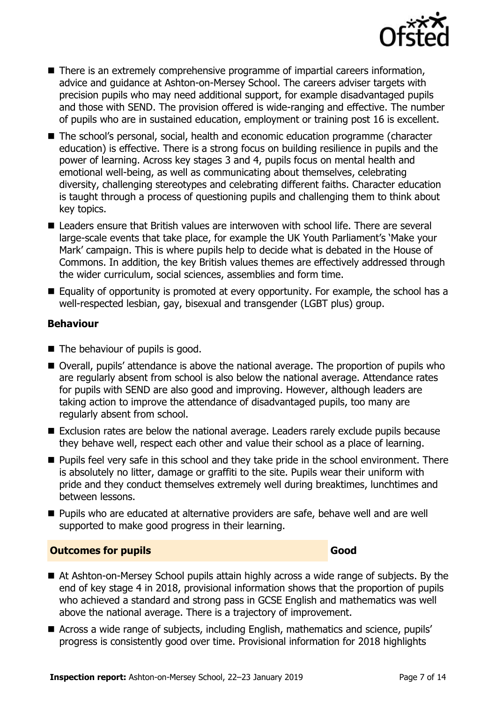

- There is an extremely comprehensive programme of impartial careers information, advice and guidance at Ashton-on-Mersey School. The careers adviser targets with precision pupils who may need additional support, for example disadvantaged pupils and those with SEND. The provision offered is wide-ranging and effective. The number of pupils who are in sustained education, employment or training post 16 is excellent.
- The school's personal, social, health and economic education programme (character education) is effective. There is a strong focus on building resilience in pupils and the power of learning. Across key stages 3 and 4, pupils focus on mental health and emotional well-being, as well as communicating about themselves, celebrating diversity, challenging stereotypes and celebrating different faiths. Character education is taught through a process of questioning pupils and challenging them to think about key topics.
- Leaders ensure that British values are interwoven with school life. There are several large-scale events that take place, for example the UK Youth Parliament's 'Make your Mark' campaign. This is where pupils help to decide what is debated in the House of Commons. In addition, the key British values themes are effectively addressed through the wider curriculum, social sciences, assemblies and form time.
- Equality of opportunity is promoted at every opportunity. For example, the school has a well-respected lesbian, gay, bisexual and transgender (LGBT plus) group.

#### **Behaviour**

- The behaviour of pupils is good.
- Overall, pupils' attendance is above the national average. The proportion of pupils who are regularly absent from school is also below the national average. Attendance rates for pupils with SEND are also good and improving. However, although leaders are taking action to improve the attendance of disadvantaged pupils, too many are regularly absent from school.
- Exclusion rates are below the national average. Leaders rarely exclude pupils because they behave well, respect each other and value their school as a place of learning.
- **Pupils feel very safe in this school and they take pride in the school environment. There** is absolutely no litter, damage or graffiti to the site. Pupils wear their uniform with pride and they conduct themselves extremely well during breaktimes, lunchtimes and between lessons.
- **Pupils who are educated at alternative providers are safe, behave well and are well** supported to make good progress in their learning.

#### **Outcomes for pupils Good**

- At Ashton-on-Mersey School pupils attain highly across a wide range of subjects. By the end of key stage 4 in 2018, provisional information shows that the proportion of pupils who achieved a standard and strong pass in GCSE English and mathematics was well above the national average. There is a trajectory of improvement.
- Across a wide range of subjects, including English, mathematics and science, pupils' progress is consistently good over time. Provisional information for 2018 highlights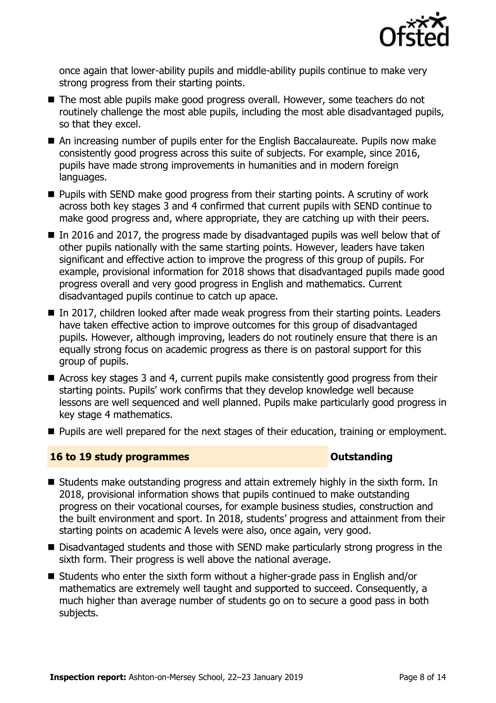

once again that lower-ability pupils and middle-ability pupils continue to make very strong progress from their starting points.

- The most able pupils make good progress overall. However, some teachers do not routinely challenge the most able pupils, including the most able disadvantaged pupils, so that they excel.
- An increasing number of pupils enter for the English Baccalaureate. Pupils now make consistently good progress across this suite of subjects. For example, since 2016, pupils have made strong improvements in humanities and in modern foreign languages.
- $\blacksquare$  Pupils with SEND make good progress from their starting points. A scrutiny of work across both key stages 3 and 4 confirmed that current pupils with SEND continue to make good progress and, where appropriate, they are catching up with their peers.
- In 2016 and 2017, the progress made by disadvantaged pupils was well below that of other pupils nationally with the same starting points. However, leaders have taken significant and effective action to improve the progress of this group of pupils. For example, provisional information for 2018 shows that disadvantaged pupils made good progress overall and very good progress in English and mathematics. Current disadvantaged pupils continue to catch up apace.
- In 2017, children looked after made weak progress from their starting points. Leaders have taken effective action to improve outcomes for this group of disadvantaged pupils. However, although improving, leaders do not routinely ensure that there is an equally strong focus on academic progress as there is on pastoral support for this group of pupils.
- Across key stages 3 and 4, current pupils make consistently good progress from their starting points. Pupils' work confirms that they develop knowledge well because lessons are well sequenced and well planned. Pupils make particularly good progress in key stage 4 mathematics.
- **Pupils are well prepared for the next stages of their education, training or employment.**

#### **16 to 19 study programmes Distances Outstanding**

- Students make outstanding progress and attain extremely highly in the sixth form. In 2018, provisional information shows that pupils continued to make outstanding progress on their vocational courses, for example business studies, construction and the built environment and sport. In 2018, students' progress and attainment from their starting points on academic A levels were also, once again, very good.
- Disadvantaged students and those with SEND make particularly strong progress in the sixth form. Their progress is well above the national average.
- Students who enter the sixth form without a higher-grade pass in English and/or mathematics are extremely well taught and supported to succeed. Consequently, a much higher than average number of students go on to secure a good pass in both subjects.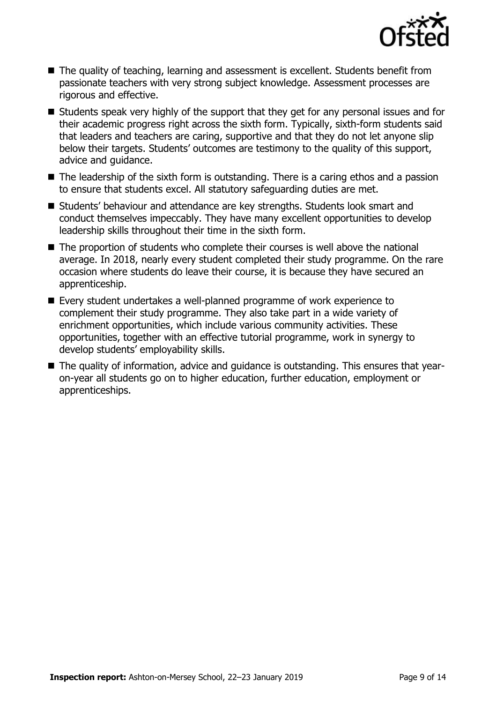

- The quality of teaching, learning and assessment is excellent. Students benefit from passionate teachers with very strong subject knowledge. Assessment processes are rigorous and effective.
- Students speak very highly of the support that they get for any personal issues and for their academic progress right across the sixth form. Typically, sixth-form students said that leaders and teachers are caring, supportive and that they do not let anyone slip below their targets. Students' outcomes are testimony to the quality of this support, advice and guidance.
- $\blacksquare$  The leadership of the sixth form is outstanding. There is a caring ethos and a passion to ensure that students excel. All statutory safeguarding duties are met.
- Students' behaviour and attendance are key strengths. Students look smart and conduct themselves impeccably. They have many excellent opportunities to develop leadership skills throughout their time in the sixth form.
- The proportion of students who complete their courses is well above the national average. In 2018, nearly every student completed their study programme. On the rare occasion where students do leave their course, it is because they have secured an apprenticeship.
- Every student undertakes a well-planned programme of work experience to complement their study programme. They also take part in a wide variety of enrichment opportunities, which include various community activities. These opportunities, together with an effective tutorial programme, work in synergy to develop students' employability skills.
- The quality of information, advice and guidance is outstanding. This ensures that yearon-year all students go on to higher education, further education, employment or apprenticeships.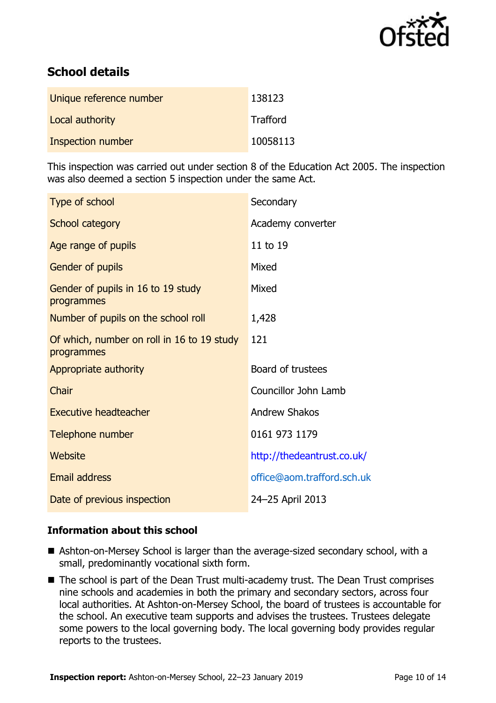

# **School details**

| Unique reference number | 138123   |
|-------------------------|----------|
| Local authority         | Trafford |
| Inspection number       | 10058113 |

This inspection was carried out under section 8 of the Education Act 2005. The inspection was also deemed a section 5 inspection under the same Act.

| Type of school                                           | Secondary                  |
|----------------------------------------------------------|----------------------------|
| School category                                          | Academy converter          |
| Age range of pupils                                      | 11 to 19                   |
| Gender of pupils                                         | Mixed                      |
| Gender of pupils in 16 to 19 study<br>programmes         | Mixed                      |
| Number of pupils on the school roll                      | 1,428                      |
| Of which, number on roll in 16 to 19 study<br>programmes | 121                        |
| Appropriate authority                                    | Board of trustees          |
| Chair                                                    | Councillor John Lamb       |
| <b>Executive headteacher</b>                             | <b>Andrew Shakos</b>       |
| Telephone number                                         | 0161 973 1179              |
| Website                                                  | http://thedeantrust.co.uk/ |
| <b>Email address</b>                                     | office@aom.trafford.sch.uk |
| Date of previous inspection                              | 24-25 April 2013           |

#### **Information about this school**

- Ashton-on-Mersey School is larger than the average-sized secondary school, with a small, predominantly vocational sixth form.
- The school is part of the Dean Trust multi-academy trust. The Dean Trust comprises nine schools and academies in both the primary and secondary sectors, across four local authorities. At Ashton-on-Mersey School, the board of trustees is accountable for the school. An executive team supports and advises the trustees. Trustees delegate some powers to the local governing body. The local governing body provides regular reports to the trustees.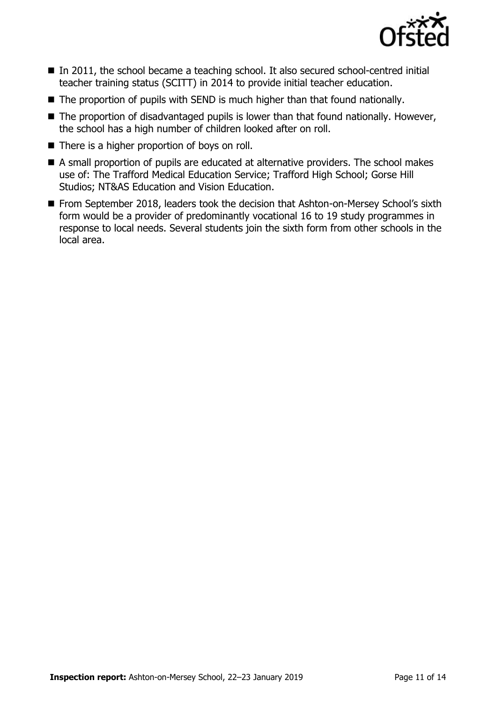

- In 2011, the school became a teaching school. It also secured school-centred initial teacher training status (SCITT) in 2014 to provide initial teacher education.
- The proportion of pupils with SEND is much higher than that found nationally.
- $\blacksquare$  The proportion of disadvantaged pupils is lower than that found nationally. However, the school has a high number of children looked after on roll.
- $\blacksquare$  There is a higher proportion of boys on roll.
- A small proportion of pupils are educated at alternative providers. The school makes use of: The Trafford Medical Education Service; Trafford High School; Gorse Hill Studios; NT&AS Education and Vision Education.
- From September 2018, leaders took the decision that Ashton-on-Mersey School's sixth form would be a provider of predominantly vocational 16 to 19 study programmes in response to local needs. Several students join the sixth form from other schools in the local area.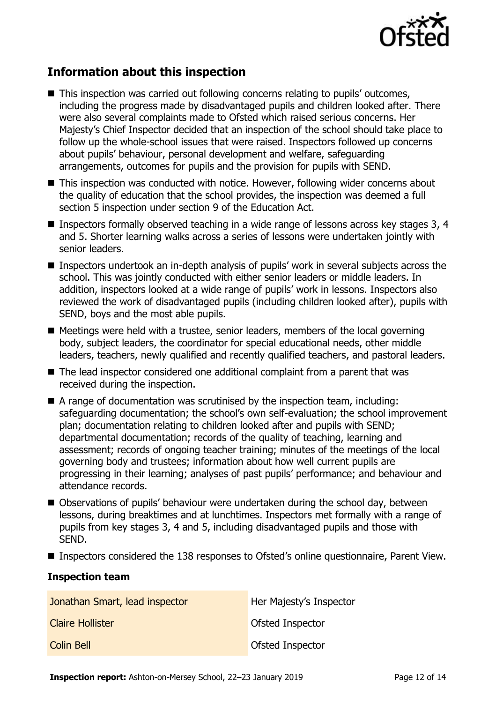

# **Information about this inspection**

- This inspection was carried out following concerns relating to pupils' outcomes, including the progress made by disadvantaged pupils and children looked after. There were also several complaints made to Ofsted which raised serious concerns. Her Majesty's Chief Inspector decided that an inspection of the school should take place to follow up the whole-school issues that were raised. Inspectors followed up concerns about pupils' behaviour, personal development and welfare, safeguarding arrangements, outcomes for pupils and the provision for pupils with SEND.
- This inspection was conducted with notice. However, following wider concerns about the quality of education that the school provides, the inspection was deemed a full section 5 inspection under section 9 of the Education Act.
- **Inspectors formally observed teaching in a wide range of lessons across key stages 3, 4** and 5. Shorter learning walks across a series of lessons were undertaken jointly with senior leaders.
- Inspectors undertook an in-depth analysis of pupils' work in several subjects across the school. This was jointly conducted with either senior leaders or middle leaders. In addition, inspectors looked at a wide range of pupils' work in lessons. Inspectors also reviewed the work of disadvantaged pupils (including children looked after), pupils with SEND, boys and the most able pupils.
- Meetings were held with a trustee, senior leaders, members of the local governing body, subject leaders, the coordinator for special educational needs, other middle leaders, teachers, newly qualified and recently qualified teachers, and pastoral leaders.
- The lead inspector considered one additional complaint from a parent that was received during the inspection.
- A range of documentation was scrutinised by the inspection team, including: safeguarding documentation; the school's own self-evaluation; the school improvement plan; documentation relating to children looked after and pupils with SEND; departmental documentation; records of the quality of teaching, learning and assessment; records of ongoing teacher training; minutes of the meetings of the local governing body and trustees; information about how well current pupils are progressing in their learning; analyses of past pupils' performance; and behaviour and attendance records.
- Observations of pupils' behaviour were undertaken during the school day, between lessons, during breaktimes and at lunchtimes. Inspectors met formally with a range of pupils from key stages 3, 4 and 5, including disadvantaged pupils and those with SEND.
- Inspectors considered the 138 responses to Ofsted's online questionnaire, Parent View.

#### **Inspection team**

| Jonathan Smart, lead inspector | Her Majesty's Inspector |
|--------------------------------|-------------------------|
| <b>Claire Hollister</b>        | <b>Ofsted Inspector</b> |
| <b>Colin Bell</b>              | <b>Ofsted Inspector</b> |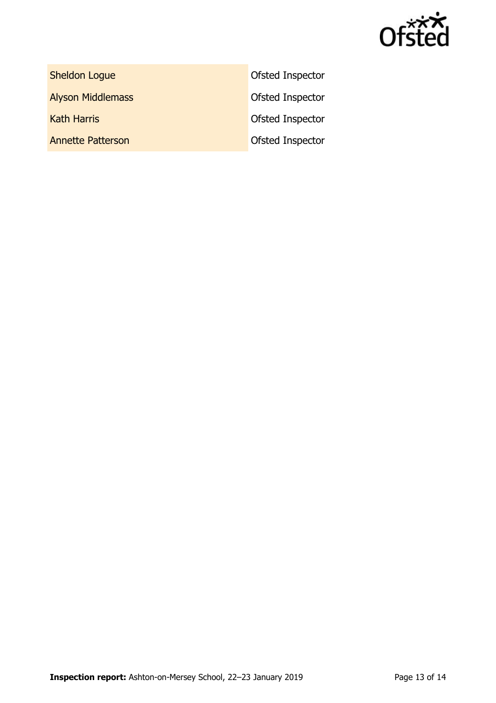

Sheldon Logue **Construction Construction Construction** Ofsted Inspector

Alyson Middlemass **Alyson Middlemass Construction Inspector** 

**Kath Harris Community Community Community** Ofsted Inspector Annette Patterson and Ofsted Inspector